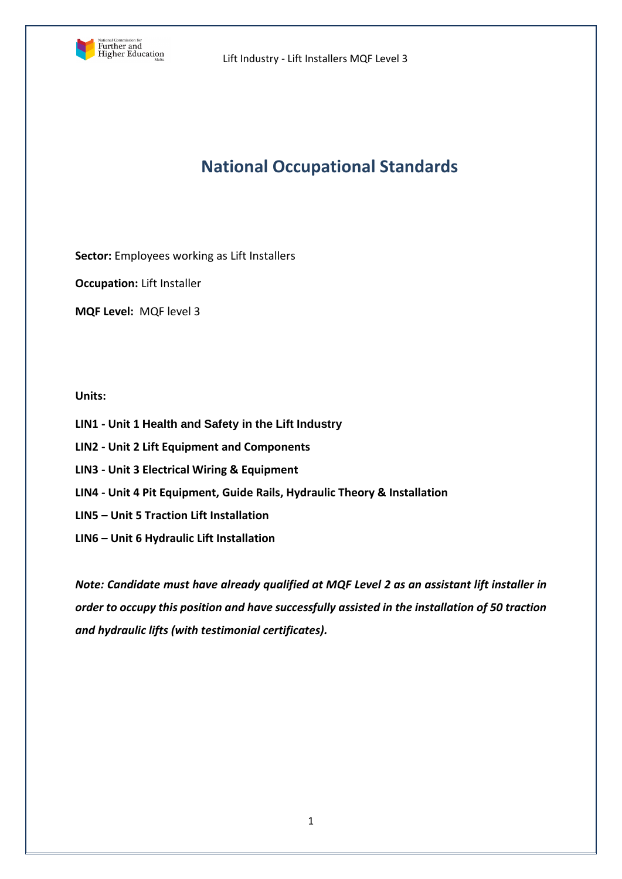

# **National Occupational Standards**

**Sector:** Employees working as Lift Installers

**Occupation:** Lift Installer

**MQF Level:** MQF level 3

## **Units:**

- **LIN1 - Unit 1 Health and Safety in the Lift Industry**
- **LIN2 - Unit 2 Lift Equipment and Components**
- **LIN3 - Unit 3 Electrical Wiring & Equipment**
- **LIN4 - Unit 4 Pit Equipment, Guide Rails, Hydraulic Theory & Installation**
- **LIN5 – Unit 5 Traction Lift Installation**
- **LIN6 – Unit 6 Hydraulic Lift Installation**

*Note: Candidate must have already qualified at MQF Level 2 as an assistant lift installer in order to occupy this position and have successfully assisted in the installation of 50 traction and hydraulic lifts (with testimonial certificates).*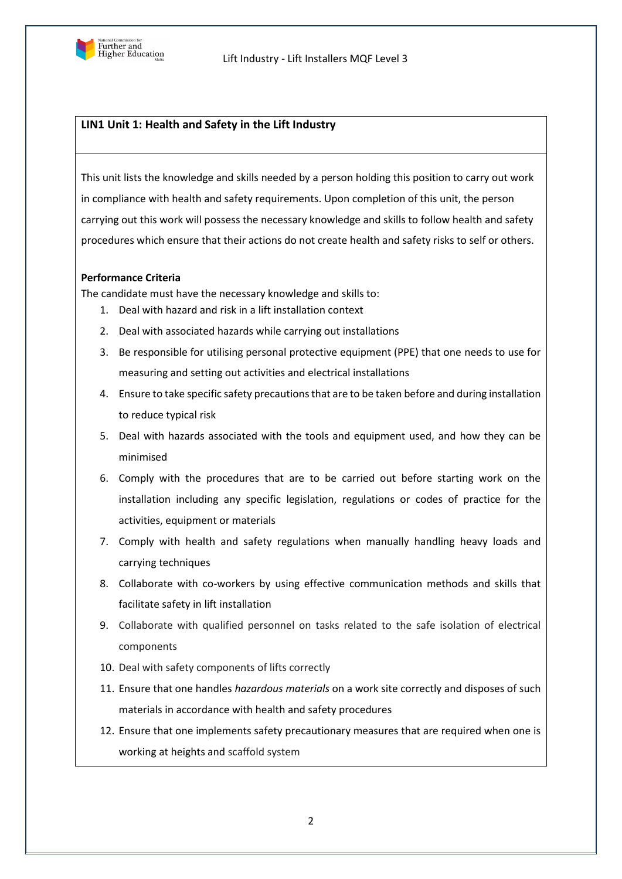

## **LIN1 Unit 1: Health and Safety in the Lift Industry**

This unit lists the knowledge and skills needed by a person holding this position to carry out work in compliance with health and safety requirements. Upon completion of this unit, the person carrying out this work will possess the necessary knowledge and skills to follow health and safety procedures which ensure that their actions do not create health and safety risks to self or others.

#### **Performance Criteria**

The candidate must have the necessary knowledge and skills to:

- 1. Deal with hazard and risk in a lift installation context
- 2. Deal with associated hazards while carrying out installations
- 3. Be responsible for utilising personal protective equipment (PPE) that one needs to use for measuring and setting out activities and electrical installations
- 4. Ensure to take specific safety precautions that are to be taken before and during installation to reduce typical risk
- 5. Deal with hazards associated with the tools and equipment used, and how they can be minimised
- 6. Comply with the procedures that are to be carried out before starting work on the installation including any specific legislation, regulations or codes of practice for the activities, equipment or materials
- 7. Comply with health and safety regulations when manually handling heavy loads and carrying techniques
- 8. Collaborate with co-workers by using effective communication methods and skills that facilitate safety in lift installation
- 9. Collaborate with qualified personnel on tasks related to the safe isolation of electrical components
- 10. Deal with safety components of lifts correctly
- 11. Ensure that one handles *hazardous materials* on a work site correctly and disposes of such materials in accordance with health and safety procedures
- 12. Ensure that one implements safety precautionary measures that are required when one is working at heights and scaffold system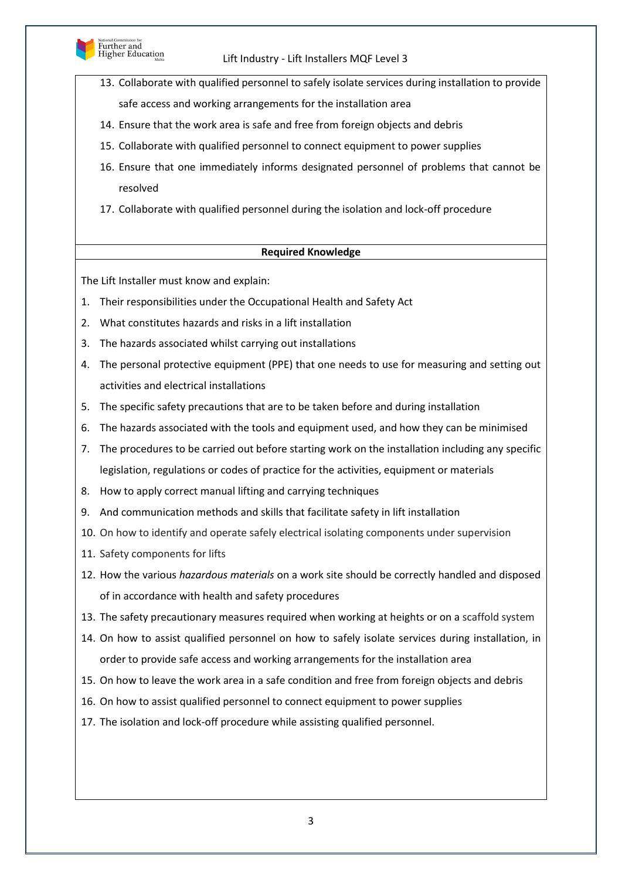

- 13. Collaborate with qualified personnel to safely isolate services during installation to provide safe access and working arrangements for the installation area
- 14. Ensure that the work area is safe and free from foreign objects and debris
- 15. Collaborate with qualified personnel to connect equipment to power supplies
- 16. Ensure that one immediately informs designated personnel of problems that cannot be resolved
- 17. Collaborate with qualified personnel during the isolation and lock-off procedure

## **Required Knowledge**

The Lift Installer must know and explain:

- 1. Their responsibilities under the Occupational Health and Safety Act
- 2. What constitutes hazards and risks in a lift installation
- 3. The hazards associated whilst carrying out installations
- 4. The personal protective equipment (PPE) that one needs to use for measuring and setting out activities and electrical installations
- 5. The specific safety precautions that are to be taken before and during installation
- 6. The hazards associated with the tools and equipment used, and how they can be minimised
- 7. The procedures to be carried out before starting work on the installation including any specific legislation, regulations or codes of practice for the activities, equipment or materials
- 8. How to apply correct manual lifting and carrying techniques
- 9. And communication methods and skills that facilitate safety in lift installation
- 10. On how to identify and operate safely electrical isolating components under supervision
- 11. Safety components for lifts
- 12. How the various *hazardous materials* on a work site should be correctly handled and disposed of in accordance with health and safety procedures
- 13. The safety precautionary measures required when working at heights or on a scaffold system
- 14. On how to assist qualified personnel on how to safely isolate services during installation, in order to provide safe access and working arrangements for the installation area
- 15. On how to leave the work area in a safe condition and free from foreign objects and debris
- 16. On how to assist qualified personnel to connect equipment to power supplies
- 17. The isolation and lock-off procedure while assisting qualified personnel.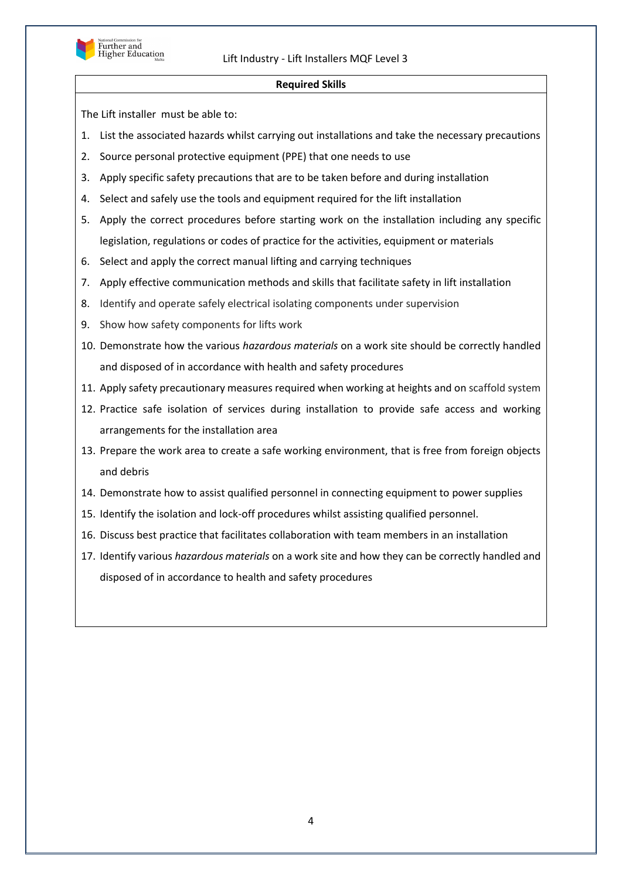

#### **Required Skills**

- 1. List the associated hazards whilst carrying out installations and take the necessary precautions
- 2. Source personal protective equipment (PPE) that one needs to use
- 3. Apply specific safety precautions that are to be taken before and during installation
- 4. Select and safely use the tools and equipment required for the lift installation
- 5. Apply the correct procedures before starting work on the installation including any specific legislation, regulations or codes of practice for the activities, equipment or materials
- 6. Select and apply the correct manual lifting and carrying techniques
- 7. Apply effective communication methods and skills that facilitate safety in lift installation
- 8. Identify and operate safely electrical isolating components under supervision
- 9. Show how safety components for lifts work
- 10. Demonstrate how the various *hazardous materials* on a work site should be correctly handled and disposed of in accordance with health and safety procedures
- 11. Apply safety precautionary measures required when working at heights and on scaffold system
- 12. Practice safe isolation of services during installation to provide safe access and working arrangements for the installation area
- 13. Prepare the work area to create a safe working environment, that is free from foreign objects and debris
- 14. Demonstrate how to assist qualified personnel in connecting equipment to power supplies
- 15. Identify the isolation and lock-off procedures whilst assisting qualified personnel.
- 16. Discuss best practice that facilitates collaboration with team members in an installation
- 17. Identify various *hazardous materials* on a work site and how they can be correctly handled and disposed of in accordance to health and safety procedures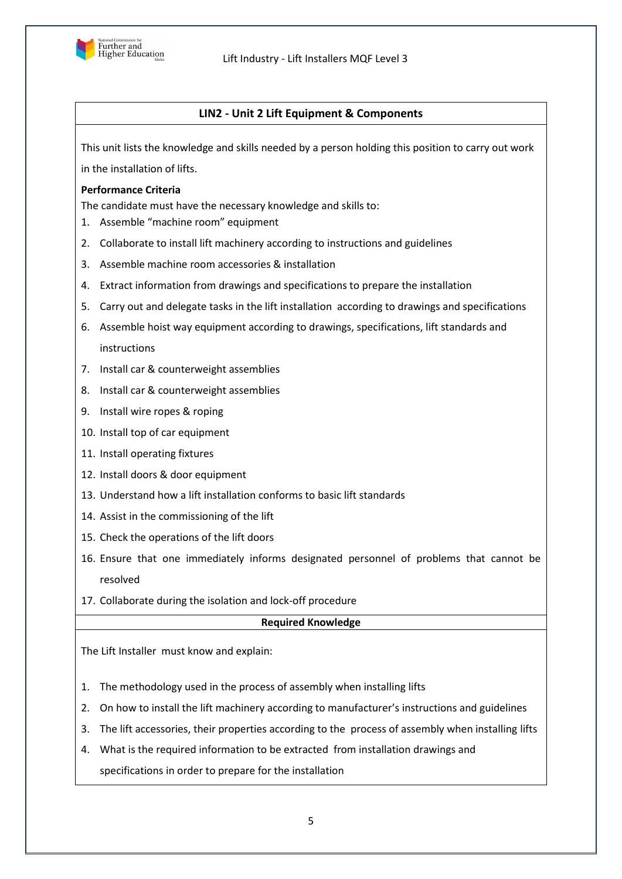

# **LIN2 - Unit 2 Lift Equipment & Components**

This unit lists the knowledge and skills needed by a person holding this position to carry out work in the installation of lifts.

## **Performance Criteria**

The candidate must have the necessary knowledge and skills to:

- 1. Assemble "machine room" equipment
- 2. Collaborate to install lift machinery according to instructions and guidelines
- 3. Assemble machine room accessories & installation
- 4. Extract information from drawings and specifications to prepare the installation
- 5. Carry out and delegate tasks in the lift installation according to drawings and specifications
- 6. Assemble hoist way equipment according to drawings, specifications, lift standards and instructions
- 7. Install car & counterweight assemblies
- 8. Install car & counterweight assemblies
- 9. Install wire ropes & roping
- 10. Install top of car equipment
- 11. Install operating fixtures
- 12. Install doors & door equipment
- 13. Understand how a lift installation conforms to basic lift standards
- 14. Assist in the commissioning of the lift
- 15. Check the operations of the lift doors
- 16. Ensure that one immediately informs designated personnel of problems that cannot be resolved
- 17. Collaborate during the isolation and lock-off procedure

## **Required Knowledge**

The Lift Installer must know and explain:

- 1. The methodology used in the process of assembly when installing lifts
- 2. On how to install the lift machinery according to manufacturer's instructions and guidelines
- 3. The lift accessories, their properties according to the process of assembly when installing lifts
- 4. What is the required information to be extracted from installation drawings and specifications in order to prepare for the installation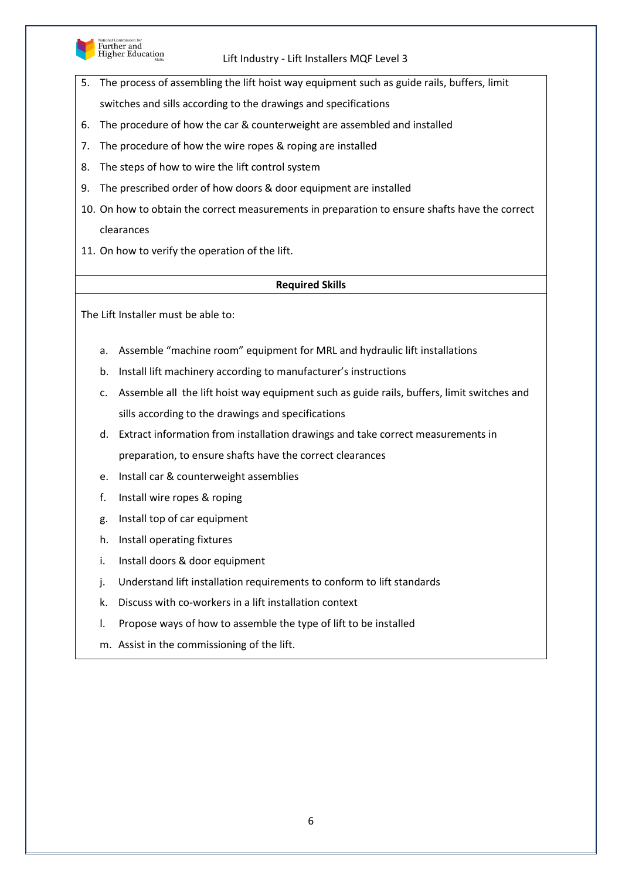

Further and<br>Higher Education

## Lift Industry - Lift Installers MQF Level 3

- 5. The process of assembling the lift hoist way equipment such as guide rails, buffers, limit
	- switches and sills according to the drawings and specifications
- 6. The procedure of how the car & counterweight are assembled and installed
- 7. The procedure of how the wire ropes & roping are installed
- 8. The steps of how to wire the lift control system
- 9. The prescribed order of how doors & door equipment are installed
- 10. On how to obtain the correct measurements in preparation to ensure shafts have the correct clearances
- 11. On how to verify the operation of the lift.

#### **Required Skills**

- a. Assemble "machine room" equipment for MRL and hydraulic lift installations
- b. Install lift machinery according to manufacturer's instructions
- c. Assemble all the lift hoist way equipment such as guide rails, buffers, limit switches and sills according to the drawings and specifications
- d. Extract information from installation drawings and take correct measurements in preparation, to ensure shafts have the correct clearances
- e. Install car & counterweight assemblies
- f. Install wire ropes & roping
- g. Install top of car equipment
- h. Install operating fixtures
- i. Install doors & door equipment
- j. Understand lift installation requirements to conform to lift standards
- k. Discuss with co-workers in a lift installation context
- l. Propose ways of how to assemble the type of lift to be installed
- m. Assist in the commissioning of the lift.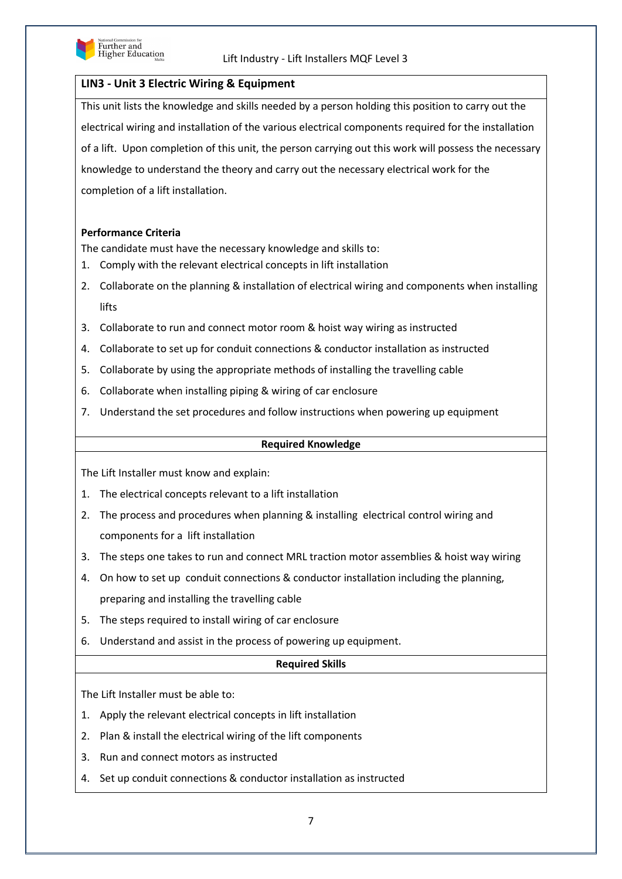

## **LIN3 - Unit 3 Electric Wiring & Equipment**

This unit lists the knowledge and skills needed by a person holding this position to carry out the electrical wiring and installation of the various electrical components required for the installation of a lift. Upon completion of this unit, the person carrying out this work will possess the necessary knowledge to understand the theory and carry out the necessary electrical work for the completion of a lift installation.

## **Performance Criteria**

The candidate must have the necessary knowledge and skills to:

- 1. Comply with the relevant electrical concepts in lift installation
- 2. Collaborate on the planning & installation of electrical wiring and components when installing lifts
- 3. Collaborate to run and connect motor room & hoist way wiring as instructed
- 4. Collaborate to set up for conduit connections & conductor installation as instructed
- 5. Collaborate by using the appropriate methods of installing the travelling cable
- 6. Collaborate when installing piping & wiring of car enclosure
- 7. Understand the set procedures and follow instructions when powering up equipment

#### **Required Knowledge**

The Lift Installer must know and explain:

- 1. The electrical concepts relevant to a lift installation
- 2. The process and procedures when planning & installing electrical control wiring and components for a lift installation
- 3. The steps one takes to run and connect MRL traction motor assemblies & hoist way wiring
- 4. On how to set up conduit connections & conductor installation including the planning, preparing and installing the travelling cable
- 5. The steps required to install wiring of car enclosure
- 6. Understand and assist in the process of powering up equipment.

## **Required Skills**

- 1. Apply the relevant electrical concepts in lift installation
- 2. Plan & install the electrical wiring of the lift components
- 3. Run and connect motors as instructed
- 4. Set up conduit connections & conductor installation as instructed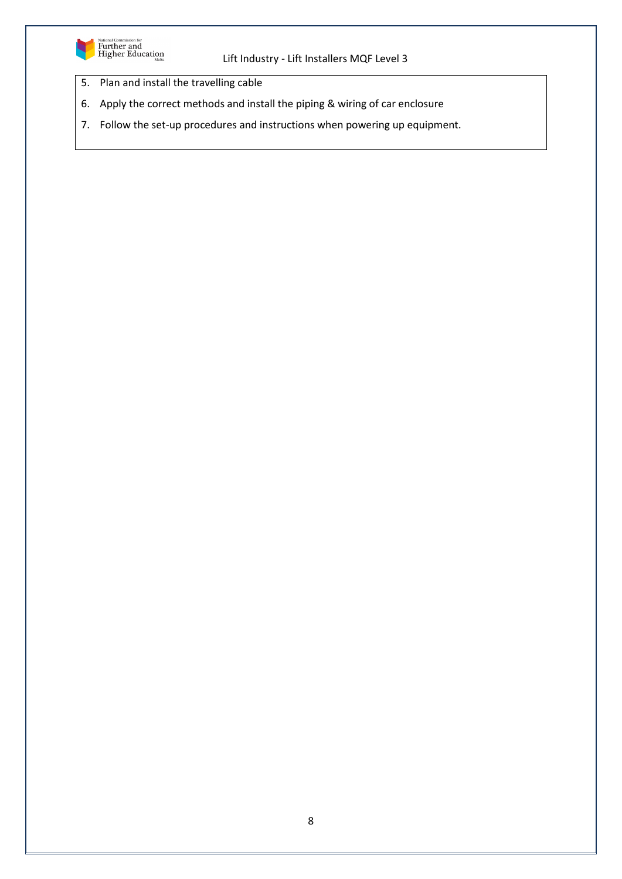

- 5. Plan and install the travelling cable
- 6. Apply the correct methods and install the piping & wiring of car enclosure
- 7. Follow the set-up procedures and instructions when powering up equipment.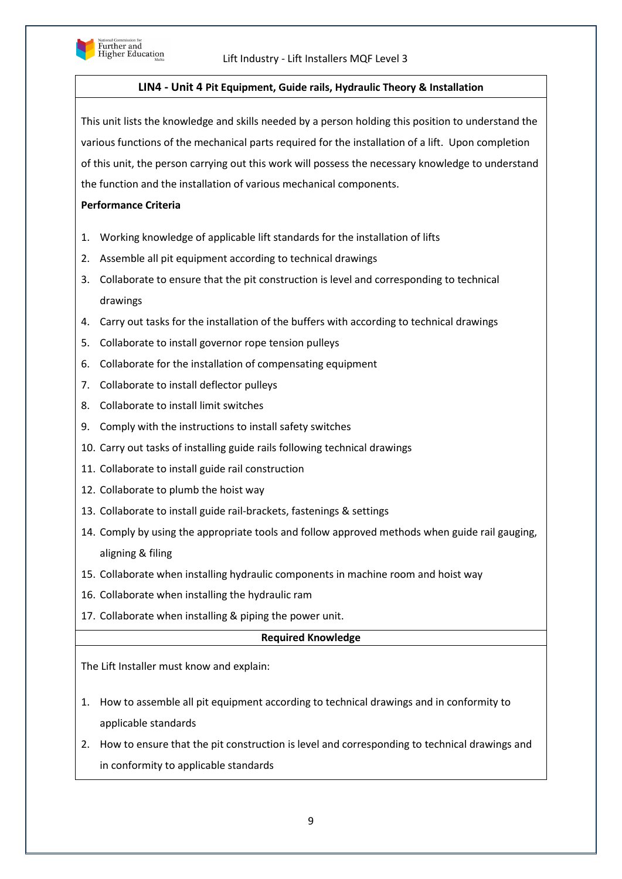

## **LIN4 - Unit 4 Pit Equipment, Guide rails, Hydraulic Theory & Installation**

This unit lists the knowledge and skills needed by a person holding this position to understand the various functions of the mechanical parts required for the installation of a lift. Upon completion of this unit, the person carrying out this work will possess the necessary knowledge to understand the function and the installation of various mechanical components.

## **Performance Criteria**

- 1. Working knowledge of applicable lift standards for the installation of lifts
- 2. Assemble all pit equipment according to technical drawings
- 3. Collaborate to ensure that the pit construction is level and corresponding to technical drawings
- 4. Carry out tasks for the installation of the buffers with according to technical drawings
- 5. Collaborate to install governor rope tension pulleys
- 6. Collaborate for the installation of compensating equipment
- 7. Collaborate to install deflector pulleys
- 8. Collaborate to install limit switches
- 9. Comply with the instructions to install safety switches
- 10. Carry out tasks of installing guide rails following technical drawings
- 11. Collaborate to install guide rail construction
- 12. Collaborate to plumb the hoist way
- 13. Collaborate to install guide rail-brackets, fastenings & settings
- 14. Comply by using the appropriate tools and follow approved methods when guide rail gauging, aligning & filing
- 15. Collaborate when installing hydraulic components in machine room and hoist way
- 16. Collaborate when installing the hydraulic ram
- 17. Collaborate when installing & piping the power unit.

## **Required Knowledge**

The Lift Installer must know and explain:

- 1. How to assemble all pit equipment according to technical drawings and in conformity to applicable standards
- 2. How to ensure that the pit construction is level and corresponding to technical drawings and in conformity to applicable standards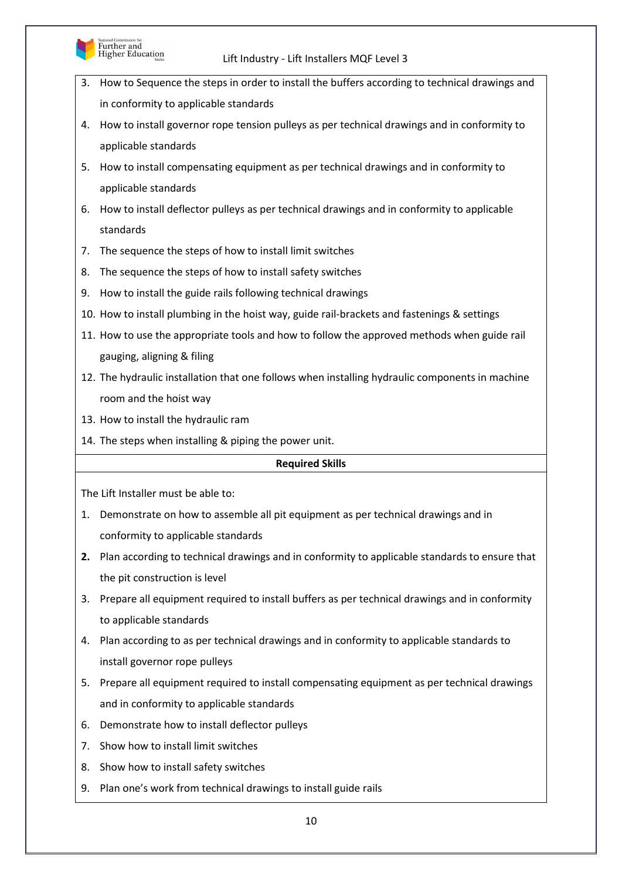

- 3. How to Sequence the steps in order to install the buffers according to technical drawings and in conformity to applicable standards
- 4. How to install governor rope tension pulleys as per technical drawings and in conformity to applicable standards
- 5. How to install compensating equipment as per technical drawings and in conformity to applicable standards
- 6. How to install deflector pulleys as per technical drawings and in conformity to applicable standards
- 7. The sequence the steps of how to install limit switches
- 8. The sequence the steps of how to install safety switches
- 9. How to install the guide rails following technical drawings
- 10. How to install plumbing in the hoist way, guide rail-brackets and fastenings & settings
- 11. How to use the appropriate tools and how to follow the approved methods when guide rail gauging, aligning & filing
- 12. The hydraulic installation that one follows when installing hydraulic components in machine room and the hoist way
- 13. How to install the hydraulic ram
- 14. The steps when installing & piping the power unit.

## **Required Skills**

- 1. Demonstrate on how to assemble all pit equipment as per technical drawings and in conformity to applicable standards
- **2.** Plan according to technical drawings and in conformity to applicable standards to ensure that the pit construction is level
- 3. Prepare all equipment required to install buffers as per technical drawings and in conformity to applicable standards
- 4. Plan according to as per technical drawings and in conformity to applicable standards to install governor rope pulleys
- 5. Prepare all equipment required to install compensating equipment as per technical drawings and in conformity to applicable standards
- 6. Demonstrate how to install deflector pulleys
- 7. Show how to install limit switches
- 8. Show how to install safety switches
- 9. Plan one's work from technical drawings to install guide rails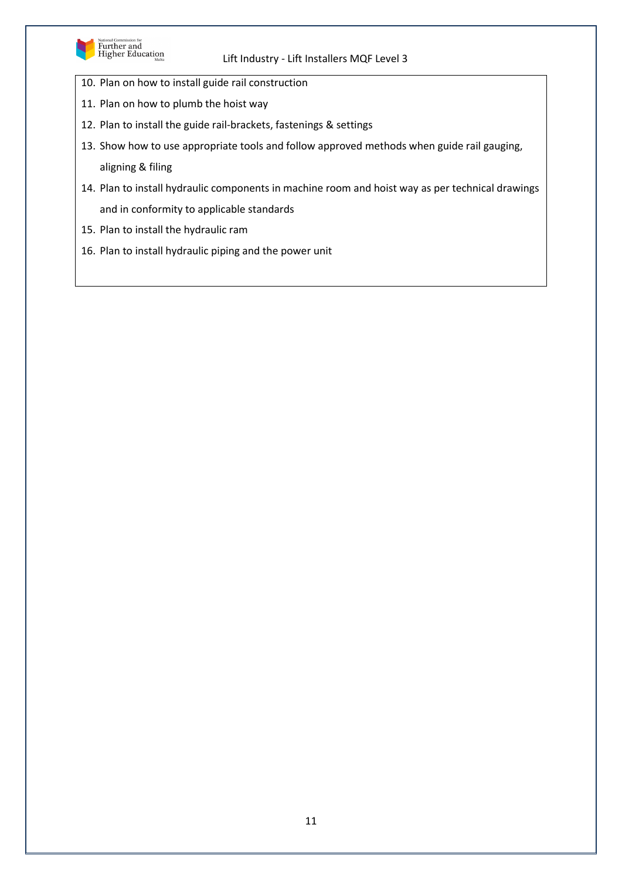

- 10. Plan on how to install guide rail construction
- 11. Plan on how to plumb the hoist way
- 12. Plan to install the guide rail-brackets, fastenings & settings
- 13. Show how to use appropriate tools and follow approved methods when guide rail gauging, aligning & filing
- 14. Plan to install hydraulic components in machine room and hoist way as per technical drawings and in conformity to applicable standards
- 15. Plan to install the hydraulic ram
- 16. Plan to install hydraulic piping and the power unit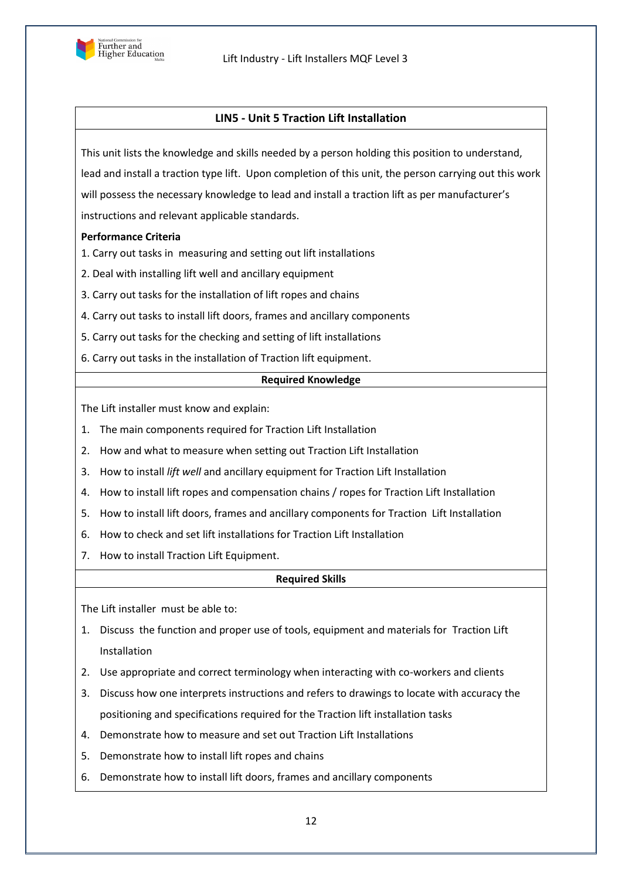

## **LIN5 - Unit 5 Traction Lift Installation**

This unit lists the knowledge and skills needed by a person holding this position to understand, lead and install a traction type lift. Upon completion of this unit, the person carrying out this work will possess the necessary knowledge to lead and install a traction lift as per manufacturer's instructions and relevant applicable standards.

## **Performance Criteria**

1. Carry out tasks in measuring and setting out lift installations

- 2. 2. Deal with installing lift well and ancillary equipment
- 3. 3. Carry out tasks for the installation of lift ropes and chains
- 4. Carry out tasks to install lift doors, frames and ancillary components
- 5. 5. Carry out tasks for the checking and setting of lift installations
- 6. 6. Carry out tasks in the installation of Traction lift equipment.

#### **Required Knowledge**

The Lift installer must know and explain:

- 1. The main components required for Traction Lift Installation
- 2. How and what to measure when setting out Traction Lift Installation
- 3. How to install *lift well* and ancillary equipment for Traction Lift Installation
- 4. How to install lift ropes and compensation chains / ropes for Traction Lift Installation
- 5. How to install lift doors, frames and ancillary components for Traction Lift Installation
- 6. How to check and set lift installations for Traction Lift Installation
- 7. How to install Traction Lift Equipment.

## **Required Skills**

- 1. Discuss the function and proper use of tools, equipment and materials for Traction Lift Installation
- 2. Use appropriate and correct terminology when interacting with co-workers and clients
- 3. Discuss how one interprets instructions and refers to drawings to locate with accuracy the positioning and specifications required for the Traction lift installation tasks
- 4. Demonstrate how to measure and set out Traction Lift Installations
- 5. Demonstrate how to install lift ropes and chains
- 6. Demonstrate how to install lift doors, frames and ancillary components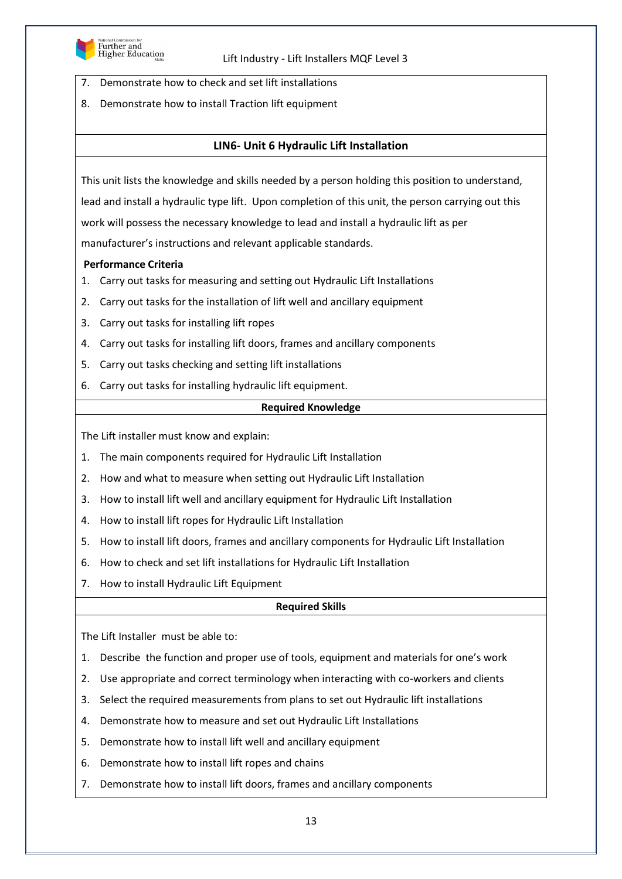

- 7. Demonstrate how to check and set lift installations
- 8. Demonstrate how to install Traction lift equipment

## **LIN6- Unit 6 Hydraulic Lift Installation**

This unit lists the knowledge and skills needed by a person holding this position to understand, lead and install a hydraulic type lift. Upon completion of this unit, the person carrying out this work will possess the necessary knowledge to lead and install a hydraulic lift as per manufacturer's instructions and relevant applicable standards.

#### **Performance Criteria**

- 1. Carry out tasks for measuring and setting out Hydraulic Lift Installations
- 2. Carry out tasks for the installation of lift well and ancillary equipment
- 3. Carry out tasks for installing lift ropes
- 4. Carry out tasks for installing lift doors, frames and ancillary components
- 5. Carry out tasks checking and setting lift installations
- 6. Carry out tasks for installing hydraulic lift equipment.

#### **Required Knowledge**

The Lift installer must know and explain:

- 1. The main components required for Hydraulic Lift Installation
- 2. How and what to measure when setting out Hydraulic Lift Installation
- 3. How to install lift well and ancillary equipment for Hydraulic Lift Installation
- 4. How to install lift ropes for Hydraulic Lift Installation
- 5. How to install lift doors, frames and ancillary components for Hydraulic Lift Installation
- 6. How to check and set lift installations for Hydraulic Lift Installation
- 7. How to install Hydraulic Lift Equipment

#### **Required Skills**

- 1. Describe the function and proper use of tools, equipment and materials for one's work
- 2. Use appropriate and correct terminology when interacting with co-workers and clients
- 3. Select the required measurements from plans to set out Hydraulic lift installations
- 4. Demonstrate how to measure and set out Hydraulic Lift Installations
- 5. Demonstrate how to install lift well and ancillary equipment
- 6. Demonstrate how to install lift ropes and chains
- 7. Demonstrate how to install lift doors, frames and ancillary components